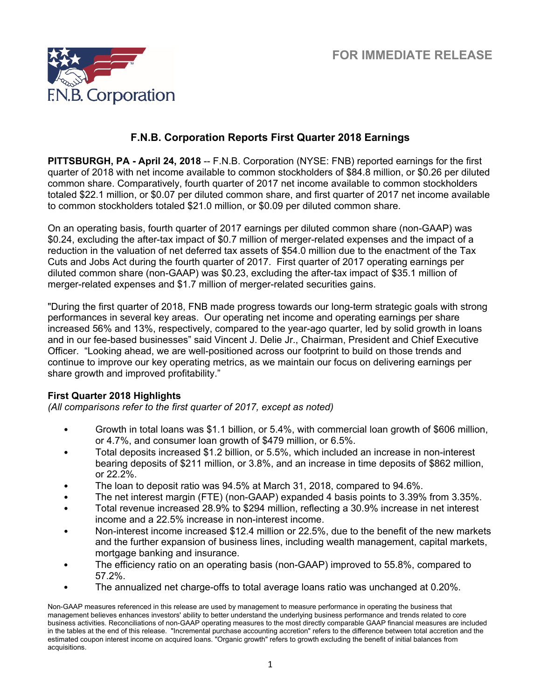

# **F.N.B. Corporation Reports First Quarter 2018 Earnings**

**PITTSBURGH, PA - April 24, 2018** -- F.N.B. Corporation (NYSE: FNB) reported earnings for the first quarter of 2018 with net income available to common stockholders of \$84.8 million, or \$0.26 per diluted common share. Comparatively, fourth quarter of 2017 net income available to common stockholders totaled \$22.1 million, or \$0.07 per diluted common share, and first quarter of 2017 net income available to common stockholders totaled \$21.0 million, or \$0.09 per diluted common share.

On an operating basis, fourth quarter of 2017 earnings per diluted common share (non-GAAP) was \$0.24, excluding the after-tax impact of \$0.7 million of merger-related expenses and the impact of a reduction in the valuation of net deferred tax assets of \$54.0 million due to the enactment of the Tax Cuts and Jobs Act during the fourth quarter of 2017. First quarter of 2017 operating earnings per diluted common share (non-GAAP) was \$0.23, excluding the after-tax impact of \$35.1 million of merger-related expenses and \$1.7 million of merger-related securities gains.

"During the first quarter of 2018, FNB made progress towards our long-term strategic goals with strong performances in several key areas. Our operating net income and operating earnings per share increased 56% and 13%, respectively, compared to the year-ago quarter, led by solid growth in loans and in our fee-based businesses" said Vincent J. Delie Jr., Chairman, President and Chief Executive Officer. "Looking ahead, we are well-positioned across our footprint to build on those trends and continue to improve our key operating metrics, as we maintain our focus on delivering earnings per share growth and improved profitability."

## **First Quarter 2018 Highlights**

*(All comparisons refer to the first quarter of 2017, except as noted)*

- Growth in total loans was \$1.1 billion, or 5.4%, with commercial loan growth of \$606 million, or 4.7%, and consumer loan growth of \$479 million, or 6.5%.
- Total deposits increased \$1.2 billion, or 5.5%, which included an increase in non-interest bearing deposits of \$211 million, or 3.8%, and an increase in time deposits of \$862 million, or 22.2%.
- The loan to deposit ratio was 94.5% at March 31, 2018, compared to 94.6%.
- The net interest margin (FTE) (non-GAAP) expanded 4 basis points to 3.39% from 3.35%.
- Total revenue increased 28.9% to \$294 million, reflecting a 30.9% increase in net interest income and a 22.5% increase in non-interest income.
- Non-interest income increased \$12.4 million or 22.5%, due to the benefit of the new markets and the further expansion of business lines, including wealth management, capital markets, mortgage banking and insurance.
- The efficiency ratio on an operating basis (non-GAAP) improved to 55.8%, compared to 57.2%.
- The annualized net charge-offs to total average loans ratio was unchanged at 0.20%.

Non-GAAP measures referenced in this release are used by management to measure performance in operating the business that management believes enhances investors' ability to better understand the underlying business performance and trends related to core business activities. Reconciliations of non-GAAP operating measures to the most directly comparable GAAP financial measures are included in the tables at the end of this release. "Incremental purchase accounting accretion" refers to the difference between total accretion and the estimated coupon interest income on acquired loans. "Organic growth" refers to growth excluding the benefit of initial balances from acquisitions.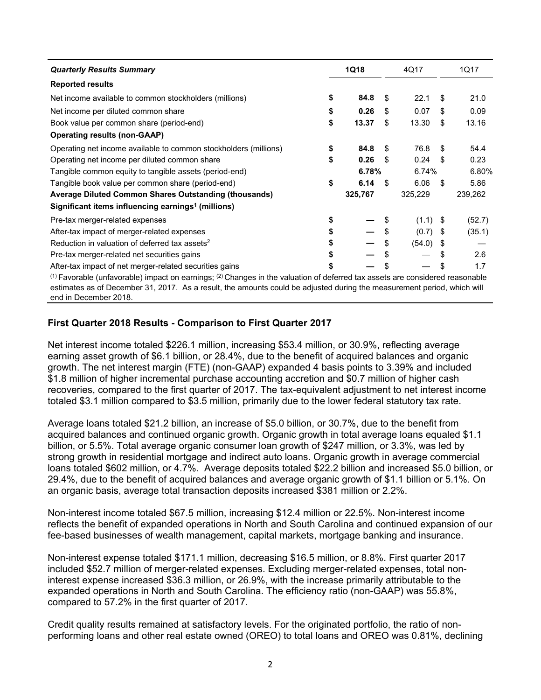| <b>Quarterly Results Summary</b>                                                                                                                                                                                                                                      | 1Q18 |         |    | 4Q17       |     | 1Q17    |
|-----------------------------------------------------------------------------------------------------------------------------------------------------------------------------------------------------------------------------------------------------------------------|------|---------|----|------------|-----|---------|
| <b>Reported results</b>                                                                                                                                                                                                                                               |      |         |    |            |     |         |
| Net income available to common stockholders (millions)                                                                                                                                                                                                                | \$   | 84.8    | S  | 22.1       | S   | 21.0    |
| Net income per diluted common share                                                                                                                                                                                                                                   |      | 0.26    | \$ | 0.07       | \$  | 0.09    |
| Book value per common share (period-end)                                                                                                                                                                                                                              | \$   | 13.37   | \$ | 13.30      | \$  | 13.16   |
| <b>Operating results (non-GAAP)</b>                                                                                                                                                                                                                                   |      |         |    |            |     |         |
| Operating net income available to common stockholders (millions)                                                                                                                                                                                                      | \$   | 84.8    | \$ | 76.8       | \$. | 54.4    |
| Operating net income per diluted common share                                                                                                                                                                                                                         | S    | 0.26    | \$ | 0.24       | \$  | 0.23    |
| Tangible common equity to tangible assets (period-end)                                                                                                                                                                                                                |      | 6.78%   |    | 6.74%      |     | 6.80%   |
| Tangible book value per common share (period-end)                                                                                                                                                                                                                     | \$   | 6.14    | S. | 6.06       | -\$ | 5.86    |
| Average Diluted Common Shares Outstanding (thousands)                                                                                                                                                                                                                 |      | 325,767 |    | 325,229    |     | 239,262 |
| Significant items influencing earnings <sup>1</sup> (millions)                                                                                                                                                                                                        |      |         |    |            |     |         |
| Pre-tax merger-related expenses                                                                                                                                                                                                                                       |      |         |    | $(1.1)$ \$ |     | (52.7)  |
| After-tax impact of merger-related expenses                                                                                                                                                                                                                           |      |         |    | $(0.7)$ \$ |     | (35.1)  |
| Reduction in valuation of deferred tax assets <sup>2</sup>                                                                                                                                                                                                            |      |         |    | (54.0)     | - 5 |         |
| Pre-tax merger-related net securities gains                                                                                                                                                                                                                           |      |         |    |            | \$. | 2.6     |
| After-tax impact of net merger-related securities gains                                                                                                                                                                                                               |      |         |    |            |     | 1.7     |
| $(1)$ Favorable (unfavorable) impact on earnings; <sup>(2)</sup> Changes in the valuation of deferred tax assets are considered reasonable<br>estimates as of December 31, 2017. As a result, the amounts could be adjusted during the measurement period, which will |      |         |    |            |     |         |

end in December 2018.

## **First Quarter 2018 Results - Comparison to First Quarter 2017**

Net interest income totaled \$226.1 million, increasing \$53.4 million, or 30.9%, reflecting average earning asset growth of \$6.1 billion, or 28.4%, due to the benefit of acquired balances and organic growth. The net interest margin (FTE) (non-GAAP) expanded 4 basis points to 3.39% and included \$1.8 million of higher incremental purchase accounting accretion and \$0.7 million of higher cash recoveries, compared to the first quarter of 2017. The tax-equivalent adjustment to net interest income totaled \$3.1 million compared to \$3.5 million, primarily due to the lower federal statutory tax rate.

Average loans totaled \$21.2 billion, an increase of \$5.0 billion, or 30.7%, due to the benefit from acquired balances and continued organic growth. Organic growth in total average loans equaled \$1.1 billion, or 5.5%. Total average organic consumer loan growth of \$247 million, or 3.3%, was led by strong growth in residential mortgage and indirect auto loans. Organic growth in average commercial loans totaled \$602 million, or 4.7%. Average deposits totaled \$22.2 billion and increased \$5.0 billion, or 29.4%, due to the benefit of acquired balances and average organic growth of \$1.1 billion or 5.1%. On an organic basis, average total transaction deposits increased \$381 million or 2.2%.

Non-interest income totaled \$67.5 million, increasing \$12.4 million or 22.5%. Non-interest income reflects the benefit of expanded operations in North and South Carolina and continued expansion of our fee-based businesses of wealth management, capital markets, mortgage banking and insurance.

Non-interest expense totaled \$171.1 million, decreasing \$16.5 million, or 8.8%. First quarter 2017 included \$52.7 million of merger-related expenses. Excluding merger-related expenses, total noninterest expense increased \$36.3 million, or 26.9%, with the increase primarily attributable to the expanded operations in North and South Carolina. The efficiency ratio (non-GAAP) was 55.8%, compared to 57.2% in the first quarter of 2017.

Credit quality results remained at satisfactory levels. For the originated portfolio, the ratio of nonperforming loans and other real estate owned (OREO) to total loans and OREO was 0.81%, declining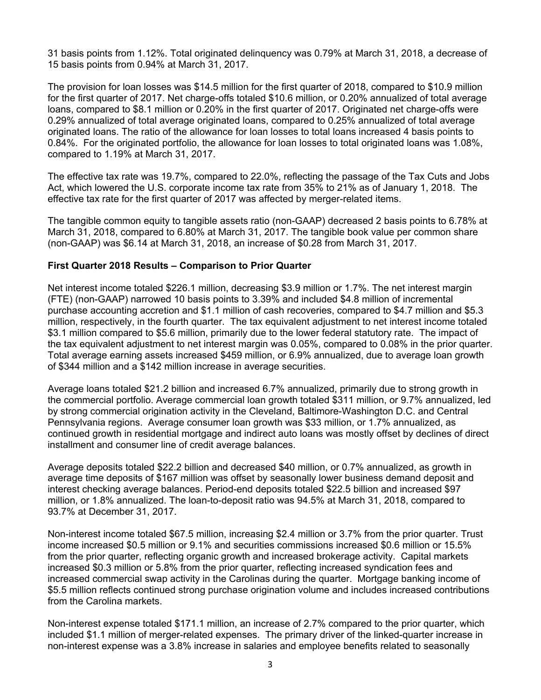31 basis points from 1.12%. Total originated delinquency was 0.79% at March 31, 2018, a decrease of 15 basis points from 0.94% at March 31, 2017.

The provision for loan losses was \$14.5 million for the first quarter of 2018, compared to \$10.9 million for the first quarter of 2017. Net charge-offs totaled \$10.6 million, or 0.20% annualized of total average loans, compared to \$8.1 million or 0.20% in the first quarter of 2017. Originated net charge-offs were 0.29% annualized of total average originated loans, compared to 0.25% annualized of total average originated loans. The ratio of the allowance for loan losses to total loans increased 4 basis points to 0.84%. For the originated portfolio, the allowance for loan losses to total originated loans was 1.08%, compared to 1.19% at March 31, 2017.

The effective tax rate was 19.7%, compared to 22.0%, reflecting the passage of the Tax Cuts and Jobs Act, which lowered the U.S. corporate income tax rate from 35% to 21% as of January 1, 2018. The effective tax rate for the first quarter of 2017 was affected by merger-related items.

The tangible common equity to tangible assets ratio (non-GAAP) decreased 2 basis points to 6.78% at March 31, 2018, compared to 6.80% at March 31, 2017. The tangible book value per common share (non-GAAP) was \$6.14 at March 31, 2018, an increase of \$0.28 from March 31, 2017.

### **First Quarter 2018 Results – Comparison to Prior Quarter**

Net interest income totaled \$226.1 million, decreasing \$3.9 million or 1.7%. The net interest margin (FTE) (non-GAAP) narrowed 10 basis points to 3.39% and included \$4.8 million of incremental purchase accounting accretion and \$1.1 million of cash recoveries, compared to \$4.7 million and \$5.3 million, respectively, in the fourth quarter. The tax equivalent adjustment to net interest income totaled \$3.1 million compared to \$5.6 million, primarily due to the lower federal statutory rate. The impact of the tax equivalent adjustment to net interest margin was 0.05%, compared to 0.08% in the prior quarter. Total average earning assets increased \$459 million, or 6.9% annualized, due to average loan growth of \$344 million and a \$142 million increase in average securities.

Average loans totaled \$21.2 billion and increased 6.7% annualized, primarily due to strong growth in the commercial portfolio. Average commercial loan growth totaled \$311 million, or 9.7% annualized, led by strong commercial origination activity in the Cleveland, Baltimore-Washington D.C. and Central Pennsylvania regions. Average consumer loan growth was \$33 million, or 1.7% annualized, as continued growth in residential mortgage and indirect auto loans was mostly offset by declines of direct installment and consumer line of credit average balances.

Average deposits totaled \$22.2 billion and decreased \$40 million, or 0.7% annualized, as growth in average time deposits of \$167 million was offset by seasonally lower business demand deposit and interest checking average balances. Period-end deposits totaled \$22.5 billion and increased \$97 million, or 1.8% annualized. The loan-to-deposit ratio was 94.5% at March 31, 2018, compared to 93.7% at December 31, 2017.

Non-interest income totaled \$67.5 million, increasing \$2.4 million or 3.7% from the prior quarter. Trust income increased \$0.5 million or 9.1% and securities commissions increased \$0.6 million or 15.5% from the prior quarter, reflecting organic growth and increased brokerage activity. Capital markets increased \$0.3 million or 5.8% from the prior quarter, reflecting increased syndication fees and increased commercial swap activity in the Carolinas during the quarter. Mortgage banking income of \$5.5 million reflects continued strong purchase origination volume and includes increased contributions from the Carolina markets.

Non-interest expense totaled \$171.1 million, an increase of 2.7% compared to the prior quarter, which included \$1.1 million of merger-related expenses. The primary driver of the linked-quarter increase in non-interest expense was a 3.8% increase in salaries and employee benefits related to seasonally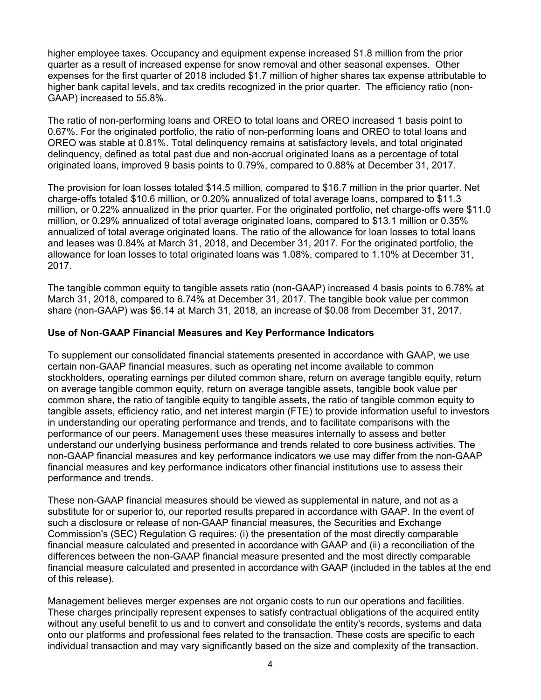higher employee taxes. Occupancy and equipment expense increased \$1.8 million from the prior quarter as a result of increased expense for snow removal and other seasonal expenses. Other expenses for the first quarter of 2018 included \$1.7 million of higher shares tax expense attributable to higher bank capital levels, and tax credits recognized in the prior quarter. The efficiency ratio (non-GAAP) increased to 55.8%.

The ratio of non-performing loans and OREO to total loans and OREO increased 1 basis point to 0.67%. For the originated portfolio, the ratio of non-performing loans and OREO to total loans and OREO was stable at 0.81%. Total delinquency remains at satisfactory levels, and total originated delinquency, defined as total past due and non-accrual originated loans as a percentage of total originated loans, improved 9 basis points to 0.79%, compared to 0.88% at December 31, 2017.

The provision for loan losses totaled \$14.5 million, compared to \$16.7 million in the prior quarter. Net charge-offs totaled \$10.6 million, or 0.20% annualized of total average loans, compared to \$11.3 million, or 0.22% annualized in the prior quarter. For the originated portfolio, net charge-offs were \$11.0 million, or 0.29% annualized of total average originated loans, compared to \$13.1 million or 0.35% annualized of total average originated loans. The ratio of the allowance for loan losses to total loans and leases was 0.84% at March 31, 2018, and December 31, 2017. For the originated portfolio, the allowance for loan losses to total originated loans was 1.08%, compared to 1.10% at December 31, 2017.

The tangible common equity to tangible assets ratio (non-GAAP) increased 4 basis points to 6.78% at March 31, 2018, compared to 6.74% at December 31, 2017. The tangible book value per common share (non-GAAP) was \$6.14 at March 31, 2018, an increase of \$0.08 from December 31, 2017.

## **Use of Non-GAAP Financial Measures and Key Performance Indicators**

To supplement our consolidated financial statements presented in accordance with GAAP, we use certain non-GAAP financial measures, such as operating net income available to common stockholders, operating earnings per diluted common share, return on average tangible equity, return on average tangible common equity, return on average tangible assets, tangible book value per common share, the ratio of tangible equity to tangible assets, the ratio of tangible common equity to tangible assets, efficiency ratio, and net interest margin (FTE) to provide information useful to investors in understanding our operating performance and trends, and to facilitate comparisons with the performance of our peers. Management uses these measures internally to assess and better understand our underlying business performance and trends related to core business activities. The non-GAAP financial measures and key performance indicators we use may differ from the non-GAAP financial measures and key performance indicators other financial institutions use to assess their performance and trends.

These non-GAAP financial measures should be viewed as supplemental in nature, and not as a substitute for or superior to, our reported results prepared in accordance with GAAP. In the event of such a disclosure or release of non-GAAP financial measures, the Securities and Exchange Commission's (SEC) Regulation G requires: (i) the presentation of the most directly comparable financial measure calculated and presented in accordance with GAAP and (ii) a reconciliation of the differences between the non-GAAP financial measure presented and the most directly comparable financial measure calculated and presented in accordance with GAAP (included in the tables at the end of this release).

Management believes merger expenses are not organic costs to run our operations and facilities. These charges principally represent expenses to satisfy contractual obligations of the acquired entity without any useful benefit to us and to convert and consolidate the entity's records, systems and data onto our platforms and professional fees related to the transaction. These costs are specific to each individual transaction and may vary significantly based on the size and complexity of the transaction.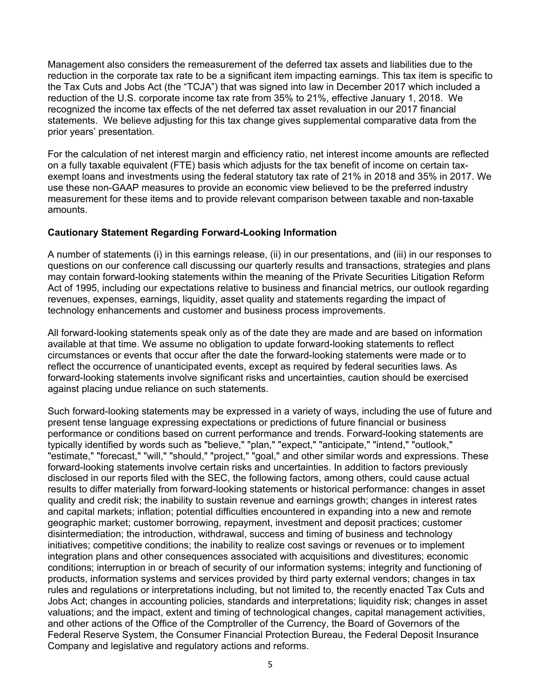Management also considers the remeasurement of the deferred tax assets and liabilities due to the reduction in the corporate tax rate to be a significant item impacting earnings. This tax item is specific to the Tax Cuts and Jobs Act (the "TCJA") that was signed into law in December 2017 which included a reduction of the U.S. corporate income tax rate from 35% to 21%, effective January 1, 2018. We recognized the income tax effects of the net deferred tax asset revaluation in our 2017 financial statements. We believe adjusting for this tax change gives supplemental comparative data from the prior years' presentation.

For the calculation of net interest margin and efficiency ratio, net interest income amounts are reflected on a fully taxable equivalent (FTE) basis which adjusts for the tax benefit of income on certain taxexempt loans and investments using the federal statutory tax rate of 21% in 2018 and 35% in 2017. We use these non-GAAP measures to provide an economic view believed to be the preferred industry measurement for these items and to provide relevant comparison between taxable and non-taxable amounts.

## **Cautionary Statement Regarding Forward-Looking Information**

A number of statements (i) in this earnings release, (ii) in our presentations, and (iii) in our responses to questions on our conference call discussing our quarterly results and transactions, strategies and plans may contain forward-looking statements within the meaning of the Private Securities Litigation Reform Act of 1995, including our expectations relative to business and financial metrics, our outlook regarding revenues, expenses, earnings, liquidity, asset quality and statements regarding the impact of technology enhancements and customer and business process improvements.

All forward-looking statements speak only as of the date they are made and are based on information available at that time. We assume no obligation to update forward-looking statements to reflect circumstances or events that occur after the date the forward-looking statements were made or to reflect the occurrence of unanticipated events, except as required by federal securities laws. As forward-looking statements involve significant risks and uncertainties, caution should be exercised against placing undue reliance on such statements.

Such forward-looking statements may be expressed in a variety of ways, including the use of future and present tense language expressing expectations or predictions of future financial or business performance or conditions based on current performance and trends. Forward-looking statements are typically identified by words such as "believe," "plan," "expect," "anticipate," "intend," "outlook," "estimate," "forecast," "will," "should," "project," "goal," and other similar words and expressions. These forward-looking statements involve certain risks and uncertainties. In addition to factors previously disclosed in our reports filed with the SEC, the following factors, among others, could cause actual results to differ materially from forward-looking statements or historical performance: changes in asset quality and credit risk; the inability to sustain revenue and earnings growth; changes in interest rates and capital markets; inflation; potential difficulties encountered in expanding into a new and remote geographic market; customer borrowing, repayment, investment and deposit practices; customer disintermediation; the introduction, withdrawal, success and timing of business and technology initiatives; competitive conditions; the inability to realize cost savings or revenues or to implement integration plans and other consequences associated with acquisitions and divestitures; economic conditions; interruption in or breach of security of our information systems; integrity and functioning of products, information systems and services provided by third party external vendors; changes in tax rules and regulations or interpretations including, but not limited to, the recently enacted Tax Cuts and Jobs Act; changes in accounting policies, standards and interpretations; liquidity risk; changes in asset valuations; and the impact, extent and timing of technological changes, capital management activities, and other actions of the Office of the Comptroller of the Currency, the Board of Governors of the Federal Reserve System, the Consumer Financial Protection Bureau, the Federal Deposit Insurance Company and legislative and regulatory actions and reforms.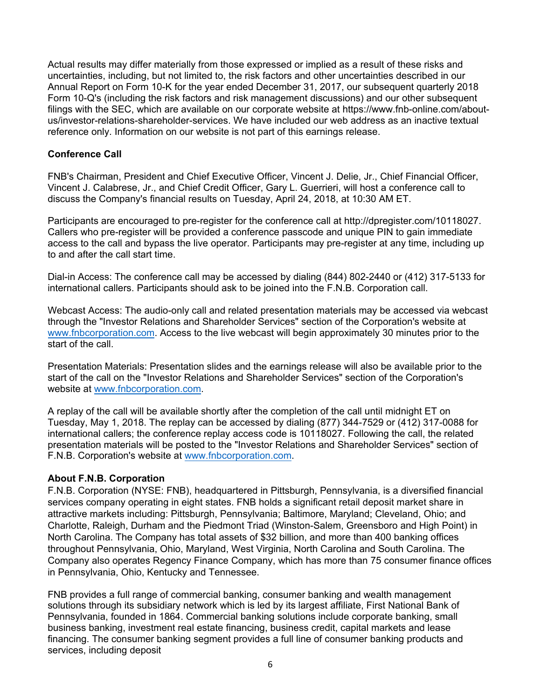Actual results may differ materially from those expressed or implied as a result of these risks and uncertainties, including, but not limited to, the risk factors and other uncertainties described in our Annual Report on Form 10-K for the year ended December 31, 2017, our subsequent quarterly 2018 Form 10-Q's (including the risk factors and risk management discussions) and our other subsequent filings with the SEC, which are available on our corporate website at https://www.fnb-online.com/aboutus/investor-relations-shareholder-services. We have included our web address as an inactive textual reference only. Information on our website is not part of this earnings release.

## **Conference Call**

FNB's Chairman, President and Chief Executive Officer, Vincent J. Delie, Jr., Chief Financial Officer, Vincent J. Calabrese, Jr., and Chief Credit Officer, Gary L. Guerrieri, will host a conference call to discuss the Company's financial results on Tuesday, April 24, 2018, at 10:30 AM ET.

Participants are encouraged to pre-register for the conference call at http://dpregister.com/10118027. Callers who pre-register will be provided a conference passcode and unique PIN to gain immediate access to the call and bypass the live operator. Participants may pre-register at any time, including up to and after the call start time.

Dial-in Access: The conference call may be accessed by dialing (844) 802-2440 or (412) 317-5133 for international callers. Participants should ask to be joined into the F.N.B. Corporation call.

Webcast Access: The audio-only call and related presentation materials may be accessed via webcast through the "Investor Relations and Shareholder Services" section of the Corporation's website at [www.fnbcorporation.com.](http://www.fnbcorporation.com/) Access to the live webcast will begin approximately 30 minutes prior to the start of the call.

Presentation Materials: Presentation slides and the earnings release will also be available prior to the start of the call on the "Investor Relations and Shareholder Services" section of the Corporation's website at [www.fnbcorporation.com.](http://www.fnbcorporation.com/)

A replay of the call will be available shortly after the completion of the call until midnight ET on Tuesday, May 1, 2018. The replay can be accessed by dialing (877) 344-7529 or (412) 317-0088 for international callers; the conference replay access code is 10118027. Following the call, the related presentation materials will be posted to the "Investor Relations and Shareholder Services" section of F.N.B. Corporation's website at [www.fnbcorporation.com.](http://www.fnbcorporation.com/)

## **About F.N.B. Corporation**

F.N.B. Corporation (NYSE: FNB), headquartered in Pittsburgh, Pennsylvania, is a diversified financial services company operating in eight states. FNB holds a significant retail deposit market share in attractive markets including: Pittsburgh, Pennsylvania; Baltimore, Maryland; Cleveland, Ohio; and Charlotte, Raleigh, Durham and the Piedmont Triad (Winston-Salem, Greensboro and High Point) in North Carolina. The Company has total assets of \$32 billion, and more than 400 banking offices throughout Pennsylvania, Ohio, Maryland, West Virginia, North Carolina and South Carolina. The Company also operates Regency Finance Company, which has more than 75 consumer finance offices in Pennsylvania, Ohio, Kentucky and Tennessee.

FNB provides a full range of commercial banking, consumer banking and wealth management solutions through its subsidiary network which is led by its largest affiliate, First National Bank of Pennsylvania, founded in 1864. Commercial banking solutions include corporate banking, small business banking, investment real estate financing, business credit, capital markets and lease financing. The consumer banking segment provides a full line of consumer banking products and services, including deposit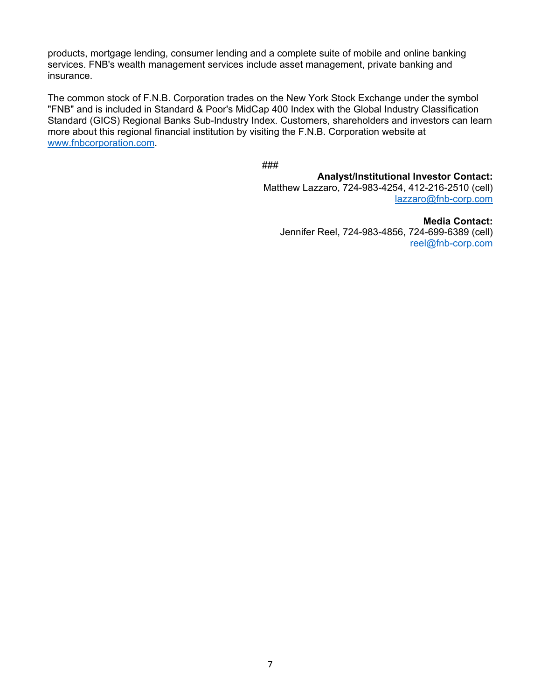products, mortgage lending, consumer lending and a complete suite of mobile and online banking services. FNB's wealth management services include asset management, private banking and insurance.

The common stock of F.N.B. Corporation trades on the New York Stock Exchange under the symbol "FNB" and is included in Standard & Poor's MidCap 400 Index with the Global Industry Classification Standard (GICS) Regional Banks Sub-Industry Index. Customers, shareholders and investors can learn more about this regional financial institution by visiting the F.N.B. Corporation website at [www.fnbcorporation.com.](http://www.fnbcorporation.com/)

###

**Analyst/Institutional Investor Contact:** Matthew Lazzaro, 724-983-4254, 412-216-2510 (cell) [lazzaro@fnb-corp.com](mailto:lazzaro@fnb-corp.com)

**Media Contact:** Jennifer Reel, 724-983-4856, 724-699-6389 (cell) [reel@fnb-corp.com](mailto:reel@fnb-corp.com)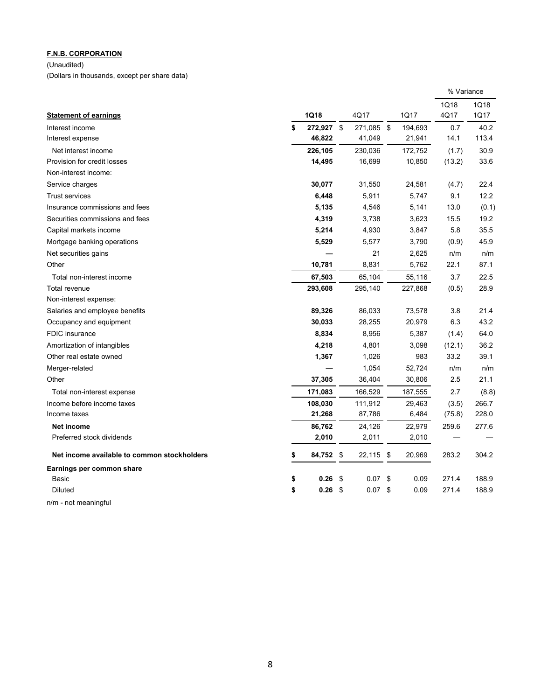(Unaudited)

(Dollars in thousands, except per share data)

|                                             |    |         |                  |            | % Variance |             |
|---------------------------------------------|----|---------|------------------|------------|------------|-------------|
|                                             |    |         |                  |            | 1Q18       | <b>1Q18</b> |
| <b>Statement of earnings</b>                |    | 1Q18    | 4Q17             | 1Q17       | 4Q17       | 1Q17        |
| Interest income                             | \$ | 272,927 | \$<br>271,085 \$ | 194,693    | 0.7        | 40.2        |
| Interest expense                            |    | 46,822  | 41,049           | 21,941     | 14.1       | 113.4       |
| Net interest income                         |    | 226,105 | 230,036          | 172,752    | (1.7)      | 30.9        |
| Provision for credit losses                 |    | 14,495  | 16,699           | 10,850     | (13.2)     | 33.6        |
| Non-interest income:                        |    |         |                  |            |            |             |
| Service charges                             |    | 30,077  | 31,550           | 24,581     | (4.7)      | 22.4        |
| <b>Trust services</b>                       |    | 6,448   | 5,911            | 5,747      | 9.1        | 12.2        |
| Insurance commissions and fees              |    | 5,135   | 4,546            | 5,141      | 13.0       | (0.1)       |
| Securities commissions and fees             |    | 4,319   | 3,738            | 3,623      | 15.5       | 19.2        |
| Capital markets income                      |    | 5,214   | 4,930            | 3,847      | 5.8        | 35.5        |
| Mortgage banking operations                 |    | 5,529   | 5,577            | 3,790      | (0.9)      | 45.9        |
| Net securities gains                        |    |         | 21               | 2,625      | n/m        | n/m         |
| Other                                       |    | 10,781  | 8,831            | 5,762      | 22.1       | 87.1        |
| Total non-interest income                   |    | 67,503  | 65,104           | 55,116     | 3.7        | 22.5        |
| Total revenue                               |    | 293,608 | 295,140          | 227,868    | (0.5)      | 28.9        |
| Non-interest expense:                       |    |         |                  |            |            |             |
| Salaries and employee benefits              |    | 89,326  | 86,033           | 73,578     | 3.8        | 21.4        |
| Occupancy and equipment                     |    | 30,033  | 28,255           | 20,979     | 6.3        | 43.2        |
| <b>FDIC</b> insurance                       |    | 8,834   | 8,956            | 5,387      | (1.4)      | 64.0        |
| Amortization of intangibles                 |    | 4,218   | 4,801            | 3,098      | (12.1)     | 36.2        |
| Other real estate owned                     |    | 1,367   | 1,026            | 983        | 33.2       | 39.1        |
| Merger-related                              |    |         | 1,054            | 52,724     | n/m        | n/m         |
| Other                                       |    | 37,305  | 36,404           | 30,806     | 2.5        | 21.1        |
| Total non-interest expense                  |    | 171,083 | 166,529          | 187,555    | 2.7        | (8.8)       |
| Income before income taxes                  |    | 108,030 | 111,912          | 29,463     | (3.5)      | 266.7       |
| Income taxes                                |    | 21,268  | 87,786           | 6,484      | (75.8)     | 228.0       |
| Net income                                  |    | 86,762  | 24,126           | 22,979     | 259.6      | 277.6       |
| Preferred stock dividends                   |    | 2,010   | 2,011            | 2,010      |            |             |
| Net income available to common stockholders | \$ | 84,752  | \$<br>22,115 \$  | 20,969     | 283.2      | 304.2       |
| Earnings per common share                   |    |         |                  |            |            |             |
| <b>Basic</b>                                | \$ | 0.26    | \$<br>0.07       | \$<br>0.09 | 271.4      | 188.9       |
| <b>Diluted</b>                              | \$ | 0.26    | \$<br>0.07       | \$<br>0.09 | 271.4      | 188.9       |
| n/m - not meaningful                        |    |         |                  |            |            |             |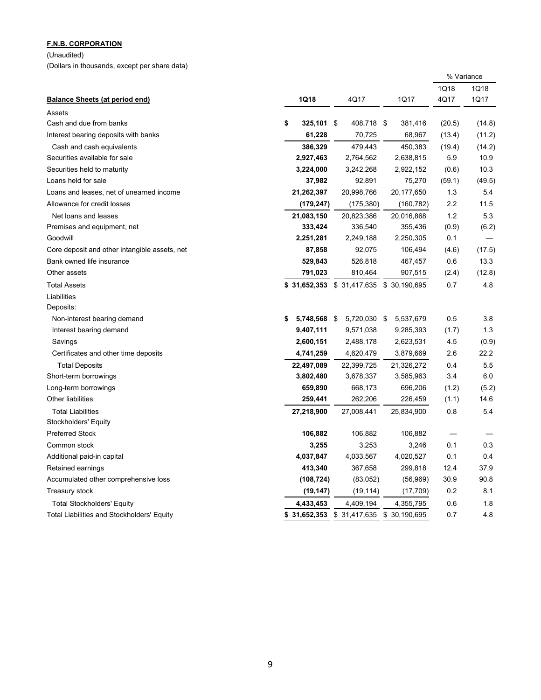(Unaudited) (Dollars in thousands, except per share data)

|                                                   |                    |                                        |               | % Variance |        |
|---------------------------------------------------|--------------------|----------------------------------------|---------------|------------|--------|
|                                                   |                    |                                        |               | 1Q18       | 1Q18   |
| <b>Balance Sheets (at period end)</b>             | 1Q18               | 4Q17                                   | 1Q17          | 4Q17       | 1Q17   |
| Assets                                            |                    |                                        |               |            |        |
| Cash and due from banks                           | \$<br>325,101 \$   | 408,718 \$                             | 381,416       | (20.5)     | (14.8) |
| Interest bearing deposits with banks              | 61,228             | 70,725                                 | 68,967        | (13.4)     | (11.2) |
| Cash and cash equivalents                         | 386,329            | 479,443                                | 450,383       | (19.4)     | (14.2) |
| Securities available for sale                     | 2,927,463          | 2,764,562                              | 2,638,815     | 5.9        | 10.9   |
| Securities held to maturity                       | 3,224,000          | 3,242,268                              | 2,922,152     | (0.6)      | 10.3   |
| Loans held for sale                               | 37,982             | 92,891                                 | 75,270        | (59.1)     | (49.5) |
| Loans and leases, net of unearned income          | 21,262,397         | 20,998,766                             | 20,177,650    | 1.3        | 5.4    |
| Allowance for credit losses                       | (179, 247)         | (175, 380)                             | (160, 782)    | 2.2        | 11.5   |
| Net loans and leases                              | 21,083,150         | 20,823,386                             | 20,016,868    | 1.2        | 5.3    |
| Premises and equipment, net                       | 333,424            | 336,540                                | 355,436       | (0.9)      | (6.2)  |
| Goodwill                                          | 2,251,281          | 2,249,188                              | 2,250,305     | 0.1        |        |
| Core deposit and other intangible assets, net     | 87,858             | 92,075                                 | 106,494       | (4.6)      | (17.5) |
| Bank owned life insurance                         | 529,843            | 526,818                                | 467,457       | 0.6        | 13.3   |
| Other assets                                      | 791,023            | 810,464                                | 907,515       | (2.4)      | (12.8) |
| <b>Total Assets</b>                               | 31,652,353         | \$ 31,417,635                          | \$ 30,190,695 | 0.7        | 4.8    |
| Liabilities                                       |                    |                                        |               |            |        |
| Deposits:                                         |                    |                                        |               |            |        |
| Non-interest bearing demand                       | 5,748,568 \$<br>\$ | 5,720,030 \$                           | 5,537,679     | 0.5        | 3.8    |
| Interest bearing demand                           | 9,407,111          | 9,571,038                              | 9,285,393     | (1.7)      | 1.3    |
| Savings                                           | 2,600,151          | 2,488,178                              | 2,623,531     | 4.5        | (0.9)  |
| Certificates and other time deposits              | 4,741,259          | 4,620,479                              | 3,879,669     | 2.6        | 22.2   |
| <b>Total Deposits</b>                             | 22,497,089         | 22,399,725                             | 21,326,272    | 0.4        | 5.5    |
| Short-term borrowings                             | 3,802,480          | 3,678,337                              | 3,585,963     | 3.4        | 6.0    |
| Long-term borrowings                              | 659,890            | 668,173                                | 696,206       | (1.2)      | (5.2)  |
| Other liabilities                                 | 259,441            | 262,206                                | 226,459       | (1.1)      | 14.6   |
| <b>Total Liabilities</b>                          | 27,218,900         | 27,008,441                             | 25,834,900    | 0.8        | 5.4    |
| Stockholders' Equity                              |                    |                                        |               |            |        |
| <b>Preferred Stock</b>                            | 106,882            | 106,882                                | 106,882       |            |        |
| Common stock                                      | 3,255              | 3,253                                  | 3,246         | 0.1        | 0.3    |
| Additional paid-in capital                        | 4,037,847          | 4,033,567                              | 4,020,527     | 0.1        | 0.4    |
| Retained earnings                                 | 413,340            | 367,658                                | 299,818       | 12.4       | 37.9   |
| Accumulated other comprehensive loss              | (108, 724)         | (83,052)                               | (56, 969)     | 30.9       | 90.8   |
| <b>Treasury stock</b>                             | (19, 147)          | (19, 114)                              | (17,709)      | 0.2        | 8.1    |
| <b>Total Stockholders' Equity</b>                 | 4,433,453          | 4,409,194                              | 4,355,795     | 0.6        | 1.8    |
| <b>Total Liabilities and Stockholders' Equity</b> |                    | \$31,652,353 \$31,417,635 \$30,190,695 |               | 0.7        | 4.8    |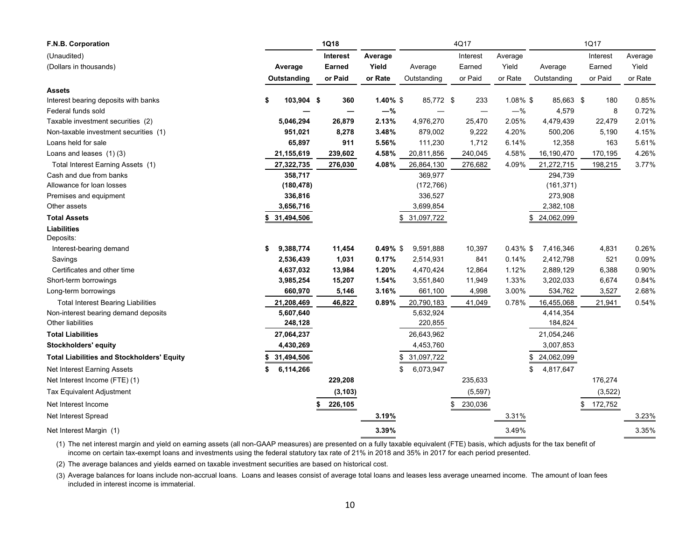| F.N.B. Corporation                                |                  | <b>1Q18</b>   |             |                  | 4Q17          |             |                 | 1Q17          |         |
|---------------------------------------------------|------------------|---------------|-------------|------------------|---------------|-------------|-----------------|---------------|---------|
| (Unaudited)                                       |                  | Interest      | Average     |                  | Interest      | Average     |                 | Interest      | Average |
| (Dollars in thousands)                            | Average          | <b>Earned</b> | Yield       | Average          | Earned        | Yield       | Average         | Earned        | Yield   |
|                                                   | Outstanding      | or Paid       | or Rate     | Outstanding      | or Paid       | or Rate     | Outstanding     | or Paid       | or Rate |
| <b>Assets</b>                                     |                  |               |             |                  |               |             |                 |               |         |
| Interest bearing deposits with banks              | \$<br>103,904 \$ | 360           | $1.40\%$ \$ | 85,772 \$        | 233           | $1.08\%$ \$ | 85,663 \$       | 180           | 0.85%   |
| Federal funds sold                                |                  |               | $-\%$       |                  |               | $-$ %       | 4,579           | 8             | 0.72%   |
| Taxable investment securities (2)                 | 5,046,294        | 26,879        | 2.13%       | 4,976,270        | 25,470        | 2.05%       | 4,479,439       | 22,479        | 2.01%   |
| Non-taxable investment securities (1)             | 951,021          | 8,278         | 3.48%       | 879,002          | 9,222         | 4.20%       | 500,206         | 5,190         | 4.15%   |
| Loans held for sale                               | 65,897           | 911           | 5.56%       | 111,230          | 1,712         | 6.14%       | 12,358          | 163           | 5.61%   |
| Loans and leases (1)(3)                           | 21,155,619       | 239,602       | 4.58%       | 20,811,856       | 240,045       | 4.58%       | 16,190,470      | 170,195       | 4.26%   |
| Total Interest Earning Assets (1)                 | 27,322,735       | 276,030       | 4.08%       | 26,864,130       | 276,682       | 4.09%       | 21,272,715      | 198,215       | 3.77%   |
| Cash and due from banks                           | 358,717          |               |             | 369,977          |               |             | 294,739         |               |         |
| Allowance for loan losses                         | (180, 478)       |               |             | (172, 766)       |               |             | (161, 371)      |               |         |
| Premises and equipment                            | 336,816          |               |             | 336,527          |               |             | 273,908         |               |         |
| Other assets                                      | 3,656,716        |               |             | 3,699,854        |               |             | 2,382,108       |               |         |
| <b>Total Assets</b>                               | 31,494,506       |               |             | 31,097,722<br>S  |               |             | 24,062,099      |               |         |
| <b>Liabilities</b>                                |                  |               |             |                  |               |             |                 |               |         |
| Deposits:                                         |                  |               |             |                  |               |             |                 |               |         |
| Interest-bearing demand                           | \$<br>9,388,774  | 11,454        | $0.49\%$ \$ | 9,591,888        | 10,397        | $0.43\%$ \$ | 7,416,346       | 4,831         | 0.26%   |
| Savings                                           | 2,536,439        | 1,031         | 0.17%       | 2,514,931        | 841           | 0.14%       | 2,412,798       | 521           | 0.09%   |
| Certificates and other time                       | 4,637,032        | 13,984        | 1.20%       | 4,470,424        | 12,864        | 1.12%       | 2,889,129       | 6,388         | 0.90%   |
| Short-term borrowings                             | 3,985,254        | 15,207        | 1.54%       | 3,551,840        | 11,949        | 1.33%       | 3,202,033       | 6,674         | 0.84%   |
| Long-term borrowings                              | 660,970          | 5,146         | 3.16%       | 661,100          | 4,998         | 3.00%       | 534,762         | 3,527         | 2.68%   |
| <b>Total Interest Bearing Liabilities</b>         | 21,208,469       | 46,822        | 0.89%       | 20,790,183       | 41,049        | 0.78%       | 16,455,068      | 21,941        | 0.54%   |
| Non-interest bearing demand deposits              | 5,607,640        |               |             | 5,632,924        |               |             | 4,414,354       |               |         |
| Other liabilities                                 | 248,128          |               |             | 220,855          |               |             | 184,824         |               |         |
| <b>Total Liabilities</b>                          | 27,064,237       |               |             | 26,643,962       |               |             | 21,054,246      |               |         |
| <b>Stockholders' equity</b>                       | 4,430,269        |               |             | 4,453,760        |               |             | 3,007,853       |               |         |
| <b>Total Liabilities and Stockholders' Equity</b> | 31,494,506       |               |             | 31,097,722<br>\$ |               |             | 24,062,099      |               |         |
| Net Interest Earning Assets                       | \$<br>6,114,266  |               |             | \$<br>6,073,947  |               |             | \$<br>4,817,647 |               |         |
| Net Interest Income (FTE) (1)                     |                  | 229,208       |             |                  | 235,633       |             |                 | 176,274       |         |
| Tax Equivalent Adjustment                         |                  | (3, 103)      |             |                  | (5, 597)      |             |                 | (3, 522)      |         |
| Net Interest Income                               |                  | 226,105<br>\$ |             |                  | 230,036<br>\$ |             |                 | \$<br>172,752 |         |
| Net Interest Spread                               |                  |               | 3.19%       |                  |               | 3.31%       |                 |               | 3.23%   |
| Net Interest Margin (1)                           |                  |               | 3.39%       |                  |               | 3.49%       |                 |               | 3.35%   |

(1) The net interest margin and yield on earning assets (all non-GAAP measures) are presented on a fully taxable equivalent (FTE) basis, which adjusts for the tax benefit of income on certain tax-exempt loans and investments using the federal statutory tax rate of 21% in 2018 and 35% in 2017 for each period presented.

(2) The average balances and yields earned on taxable investment securities are based on historical cost.

(3) Average balances for loans include non-accrual loans. Loans and leases consist of average total loans and leases less average unearned income. The amount of loan fees included in interest income is immaterial.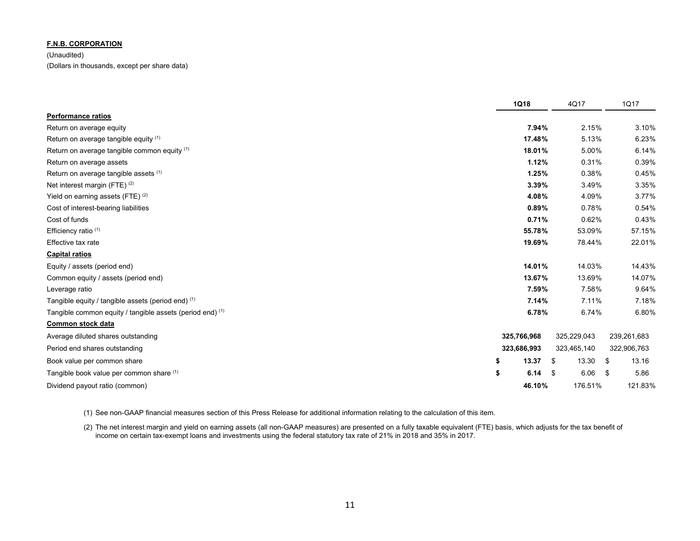(Unaudited) (Dollars in thousands, except per share data)

|                                                           | 1Q18           | 4Q17        | 1Q17          |
|-----------------------------------------------------------|----------------|-------------|---------------|
| <b>Performance ratios</b>                                 |                |             |               |
| Return on average equity                                  | 7.94%          | 2.15%       | 3.10%         |
| Return on average tangible equity (1)                     | 17.48%         | 5.13%       | 6.23%         |
| Return on average tangible common equity (1)              | 18.01%         | 5.00%       | 6.14%         |
| Return on average assets                                  | 1.12%          | 0.31%       | 0.39%         |
| Return on average tangible assets (1)                     | 1.25%          | 0.38%       | 0.45%         |
| Net interest margin (FTE) <sup>(2)</sup>                  | 3.39%          | 3.49%       | 3.35%         |
| Yield on earning assets (FTE) $(2)$                       | 4.08%          | 4.09%       | 3.77%         |
| Cost of interest-bearing liabilities                      | 0.89%          | 0.78%       | 0.54%         |
| Cost of funds                                             | 0.71%          | 0.62%       | 0.43%         |
| Efficiency ratio (1)                                      | 55.78%         | 53.09%      | 57.15%        |
| Effective tax rate                                        | 19.69%         | 78.44%      | 22.01%        |
| <b>Capital ratios</b>                                     |                |             |               |
| Equity / assets (period end)                              | 14.01%         | 14.03%      | 14.43%        |
| Common equity / assets (period end)                       | 13.67%         | 13.69%      | 14.07%        |
| Leverage ratio                                            | 7.59%          | 7.58%       | 9.64%         |
| Tangible equity / tangible assets (period end) (1)        | 7.14%          | 7.11%       | 7.18%         |
| Tangible common equity / tangible assets (period end) (1) | 6.78%          | 6.74%       | 6.80%         |
| Common stock data                                         |                |             |               |
| Average diluted shares outstanding                        | 325,766,968    | 325,229,043 | 239,261,683   |
| Period end shares outstanding                             | 323,686,993    | 323,465,140 | 322,906,763   |
| Book value per common share                               | 13.37<br>\$    | 13.30<br>\$ | 13.16<br>- \$ |
| Tangible book value per common share (1)                  | \$<br>6.14 $$$ | 6.06        | 5.86<br>- \$  |
| Dividend payout ratio (common)                            | 46.10%         | 176.51%     | 121.83%       |

(1) See non-GAAP financial measures section of this Press Release for additional information relating to the calculation of this item.

(2) The net interest margin and yield on earning assets (all non-GAAP measures) are presented on a fully taxable equivalent (FTE) basis, which adjusts for the tax benefit of income on certain tax-exempt loans and investments using the federal statutory tax rate of 21% in 2018 and 35% in 2017.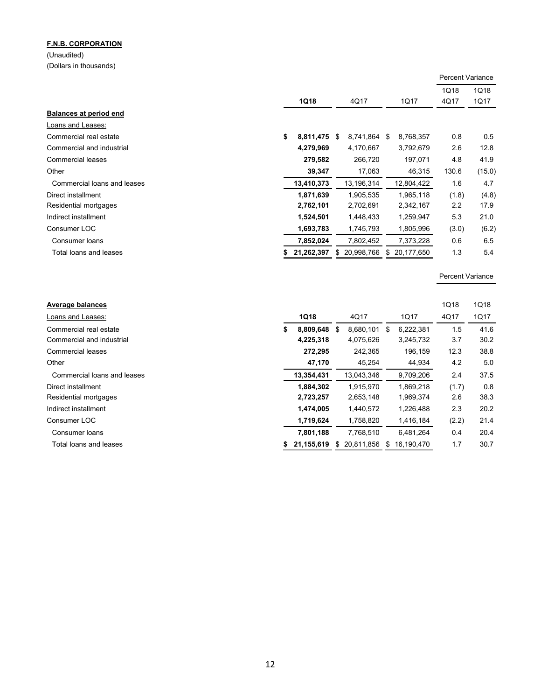(Unaudited) (Dollars in thousands)

|                             |                 |                   |                  | <b>Percent Variance</b> |        |
|-----------------------------|-----------------|-------------------|------------------|-------------------------|--------|
|                             |                 |                   |                  | 1Q18                    | 1Q18   |
|                             | <b>1Q18</b>     | 4Q17              | 1Q17             | 4Q17                    | 1Q17   |
| Balances at period end      |                 |                   |                  |                         |        |
| Loans and Leases:           |                 |                   |                  |                         |        |
| Commercial real estate      | \$<br>8,811,475 | 8,741,864<br>\$.  | \$<br>8,768,357  | 0.8                     | 0.5    |
| Commercial and industrial   | 4,279,969       | 4,170,667         | 3,792,679        | 2.6                     | 12.8   |
| Commercial leases           | 279,582         | 266,720           | 197,071          | 4.8                     | 41.9   |
| Other                       | 39,347          | 17,063            | 46,315           | 130.6                   | (15.0) |
| Commercial loans and leases | 13,410,373      | 13,196,314        | 12,804,422       | 1.6                     | 4.7    |
| Direct installment          | 1,871,639       | 1,905,535         | 1,965,118        | (1.8)                   | (4.8)  |
| Residential mortgages       | 2,762,101       | 2,702,691         | 2,342,167        | 2.2                     | 17.9   |
| Indirect installment        | 1,524,501       | 1,448,433         | 1,259,947        | 5.3                     | 21.0   |
| Consumer LOC                | 1,693,783       | 1,745,793         | 1,805,996        | (3.0)                   | (6.2)  |
| Consumer loans              | 7,852,024       | 7,802,452         | 7,373,228        | 0.6                     | 6.5    |
| Total loans and leases      | 21,262,397      | 20,998,766<br>\$. | \$<br>20,177,650 | 1.3                     | 5.4    |

Percent Variance

| Average balances            |   |              |                  |                  | <b>1Q18</b> | <b>1Q18</b> |
|-----------------------------|---|--------------|------------------|------------------|-------------|-------------|
| Loans and Leases:           |   | <b>1Q18</b>  | 4Q17             | 1Q17             | 4Q17        | 1Q17        |
| Commercial real estate      | S | 8,809,648    | \$<br>8.680.101  | \$<br>6.222.381  | 1.5         | 41.6        |
| Commercial and industrial   |   | 4,225,318    | 4,075,626        | 3,245,732        | 3.7         | 30.2        |
| Commercial leases           |   | 272,295      | 242,365          | 196,159          | 12.3        | 38.8        |
| Other                       |   | 47,170       | 45,254           | 44,934           | 4.2         | 5.0         |
| Commercial loans and leases |   | 13,354,431   | 13,043,346       | 9,709,206        | 2.4         | 37.5        |
| Direct installment          |   | 1,884,302    | 1,915,970        | 1,869,218        | (1.7)       | 0.8         |
| Residential mortgages       |   | 2,723,257    | 2,653,148        | 1,969,374        | 2.6         | 38.3        |
| Indirect installment        |   | 1,474,005    | 1,440,572        | 1,226,488        | 2.3         | 20.2        |
| Consumer LOC                |   | 1,719,624    | 1,758,820        | 1,416,184        | (2.2)       | 21.4        |
| Consumer loans              |   | 7,801,188    | 7,768,510        | 6,481,264        | 0.4         | 20.4        |
| Total loans and leases      |   | \$21,155,619 | \$<br>20,811,856 | \$<br>16,190,470 | 1.7         | 30.7        |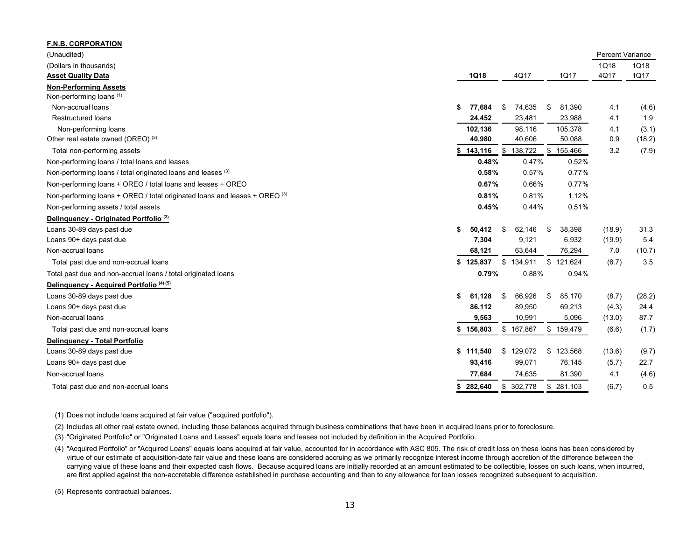| <b>F.N.B. CORPORATION</b>                                                  |    |           |              |               |                         |        |
|----------------------------------------------------------------------------|----|-----------|--------------|---------------|-------------------------|--------|
| (Unaudited)                                                                |    |           |              |               | <b>Percent Variance</b> |        |
| (Dollars in thousands)                                                     |    |           |              |               | 1Q18                    | 1Q18   |
| <b>Asset Quality Data</b>                                                  |    | 1Q18      | 4Q17         | 1Q17          | 4Q17                    | 1Q17   |
| <b>Non-Performing Assets</b>                                               |    |           |              |               |                         |        |
| Non-performing loans (1)                                                   |    |           |              |               |                         |        |
| Non-accrual loans                                                          | \$ | 77,684    | \$<br>74,635 | \$<br>81,390  | 4.1                     | (4.6)  |
| <b>Restructured loans</b>                                                  |    | 24,452    | 23,481       | 23,988        | 4.1                     | 1.9    |
| Non-performing loans                                                       |    | 102,136   | 98,116       | 105,378       | 4.1                     | (3.1)  |
| Other real estate owned (OREO) <sup>(2)</sup>                              |    | 40,980    | 40,606       | 50,088        | 0.9                     | (18.2) |
| Total non-performing assets                                                | S  | 143,116   | \$138,722    | \$155,466     | 3.2                     | (7.9)  |
| Non-performing loans / total loans and leases                              |    | 0.48%     | 0.47%        | 0.52%         |                         |        |
| Non-performing loans / total originated loans and leases (3)               |    | 0.58%     | 0.57%        | 0.77%         |                         |        |
| Non-performing loans + OREO / total loans and leases + OREO                |    | 0.67%     | 0.66%        | 0.77%         |                         |        |
| Non-performing loans + OREO / total originated loans and leases + OREO (3) |    | 0.81%     | 0.81%        | 1.12%         |                         |        |
| Non-performing assets / total assets                                       |    | 0.45%     | 0.44%        | 0.51%         |                         |        |
| Delinquency - Originated Portfolio <sup>(3)</sup>                          |    |           |              |               |                         |        |
| Loans 30-89 days past due                                                  | \$ | 50,412    | \$<br>62,146 | \$<br>38,398  | (18.9)                  | 31.3   |
| Loans 90+ days past due                                                    |    | 7,304     | 9,121        | 6,932         | (19.9)                  | 5.4    |
| Non-accrual loans                                                          |    | 68,121    | 63,644       | 76,294        | 7.0                     | (10.7) |
| Total past due and non-accrual loans                                       |    | 125,837   | \$134,911    | \$121,624     | (6.7)                   | 3.5    |
| Total past due and non-accrual loans / total originated loans              |    | 0.79%     | 0.88%        | 0.94%         |                         |        |
| Delinguency - Acquired Portfolio <sup>(4)(5)</sup>                         |    |           |              |               |                         |        |
| Loans 30-89 days past due                                                  | \$ | 61,128    | \$<br>66,926 | \$<br>85,170  | (8.7)                   | (28.2) |
| Loans 90+ days past due                                                    |    | 86,112    | 89,950       | 69,213        | (4.3)                   | 24.4   |
| Non-accrual loans                                                          |    | 9,563     | 10,991       | 5,096         | (13.0)                  | 87.7   |
| Total past due and non-accrual loans                                       | \$ | 156,803   | \$167,867    | \$159,479     | (6.6)                   | (1.7)  |
| Delinguency - Total Portfolio                                              |    |           |              |               |                         |        |
| Loans 30-89 days past due                                                  |    | \$111,540 | \$129,072    | \$<br>123,568 | (13.6)                  | (9.7)  |
| Loans 90+ days past due                                                    |    | 93,416    | 99,071       | 76,145        | (5.7)                   | 22.7   |
| Non-accrual loans                                                          |    | 77,684    | 74,635       | 81,390        | 4.1                     | (4.6)  |
| Total past due and non-accrual loans                                       | \$ | 282,640   | \$302,778    | \$281,103     | (6.7)                   | 0.5    |

(1) Does not include loans acquired at fair value ("acquired portfolio").

(2) Includes all other real estate owned, including those balances acquired through business combinations that have been in acquired loans prior to foreclosure.

(3) "Originated Portfolio" or "Originated Loans and Leases" equals loans and leases not included by definition in the Acquired Portfolio.

(4) "Acquired Portfolio" or "Acquired Loans" equals loans acquired at fair value, accounted for in accordance with ASC 805. The risk of credit loss on these loans has been considered by virtue of our estimate of acquisition-date fair value and these loans are considered accruing as we primarily recognize interest income through accretion of the difference between the carrying value of these loans and their expected cash flows. Because acquired loans are initially recorded at an amount estimated to be collectible, losses on such loans, when incurred, are first applied against the non-accretable difference established in purchase accounting and then to any allowance for loan losses recognized subsequent to acquisition.

(5) Represents contractual balances.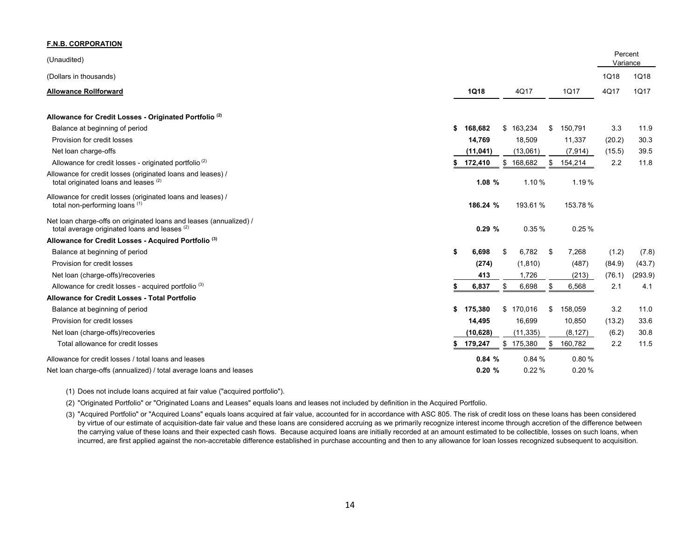| <b>F.N.B. CORPORATION</b>                                                                                           |                                             |                     |             |
|---------------------------------------------------------------------------------------------------------------------|---------------------------------------------|---------------------|-------------|
| (Unaudited)                                                                                                         |                                             | Percent<br>Variance |             |
| (Dollars in thousands)                                                                                              |                                             | 1Q18                | 1Q18        |
| <b>Allowance Rollforward</b>                                                                                        | 4Q17<br>1Q18<br>1Q17                        | 4Q17                | <b>1Q17</b> |
| Allowance for Credit Losses - Originated Portfolio <sup>(2)</sup>                                                   |                                             |                     |             |
| Balance at beginning of period                                                                                      | 168,682<br>\$163,234<br>150,791<br>\$<br>\$ | 3.3                 | 11.9        |
| Provision for credit losses                                                                                         | 14,769<br>18,509<br>11,337                  | (20.2)              | 30.3        |
| Net loan charge-offs                                                                                                | (11, 041)<br>(13,061)<br>(7, 914)           | (15.5)              | 39.5        |
| Allowance for credit losses - originated portfolio <sup>(2)</sup>                                                   | 172,410<br>\$168,682<br>154,214<br>\$       | 2.2                 | 11.8        |
| Allowance for credit losses (originated loans and leases) /<br>total originated loans and leases (2)                | 1.08%<br>1.10%<br>1.19%                     |                     |             |
| Allowance for credit losses (originated loans and leases) /<br>total non-performing loans (1)                       | 186.24 %<br>193.61%<br>153.78%              |                     |             |
| Net loan charge-offs on originated loans and leases (annualized) /<br>total average originated loans and leases (2) | 0.25%<br>0.29%<br>0.35%                     |                     |             |
| Allowance for Credit Losses - Acquired Portfolio <sup>(3)</sup>                                                     |                                             |                     |             |
| Balance at beginning of period                                                                                      | 6,698<br>6,782<br>\$<br>\$<br>7,268<br>-\$  | (1.2)               | (7.8)       |
| Provision for credit losses                                                                                         | (274)<br>(1, 810)<br>(487)                  | (84.9)              | (43.7)      |
| Net loan (charge-offs)/recoveries                                                                                   | 1,726<br>413<br>(213)                       | (76.1)              | (293.9)     |
| Allowance for credit losses - acquired portfolio <sup>(3)</sup>                                                     | 6,698<br>6,837<br>6,568<br>\$<br>\$         | 2.1                 | 4.1         |
| Allowance for Credit Losses - Total Portfolio                                                                       |                                             |                     |             |
| Balance at beginning of period                                                                                      | 175,380<br>\$170,016<br>158,059<br>\$<br>\$ | 3.2                 | 11.0        |
| Provision for credit losses                                                                                         | 16,699<br>10,850<br>14,495                  | (13.2)              | 33.6        |
| Net loan (charge-offs)/recoveries                                                                                   | (10, 628)<br>(11, 335)<br>(8, 127)          | (6.2)               | 30.8        |
| Total allowance for credit losses                                                                                   | 179,247<br>\$175,380<br>\$<br>160,782       | 2.2                 | 11.5        |
| Allowance for credit losses / total loans and leases                                                                | 0.84%<br>0.84%<br>0.80%                     |                     |             |
| Net loan charge-offs (annualized) / total average loans and leases                                                  | 0.22%<br>0.20%<br>0.20%                     |                     |             |

(1) Does not include loans acquired at fair value ("acquired portfolio").

(2) "Originated Portfolio" or "Originated Loans and Leases" equals loans and leases not included by definition in the Acquired Portfolio.

(3) "Acquired Portfolio" or "Acquired Loans" equals loans acquired at fair value, accounted for in accordance with ASC 805. The risk of credit loss on these loans has been considered by virtue of our estimate of acquisition-date fair value and these loans are considered accruing as we primarily recognize interest income through accretion of the difference between the carrying value of these loans and their expected cash flows. Because acquired loans are initially recorded at an amount estimated to be collectible, losses on such loans, when incurred, are first applied against the non-accretable difference established in purchase accounting and then to any allowance for loan losses recognized subsequent to acquisition.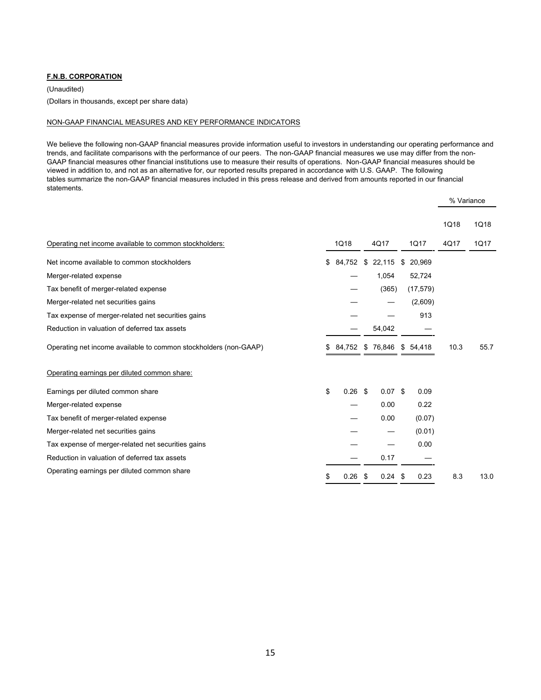(Unaudited)

(Dollars in thousands, except per share data)

#### NON-GAAP FINANCIAL MEASURES AND KEY PERFORMANCE INDICATORS

We believe the following non-GAAP financial measures provide information useful to investors in understanding our operating performance and trends, and facilitate comparisons with the performance of our peers. The non-GAAP financial measures we use may differ from the non-GAAP financial measures other financial institutions use to measure their results of operations. Non-GAAP financial measures should be viewed in addition to, and not as an alternative for, our reported results prepared in accordance with U.S. GAAP. The following tables summarize the non-GAAP financial measures included in this press release and derived from amounts reported in our financial statements.

|                                                                  |    |           |              |              | % Variance |      |
|------------------------------------------------------------------|----|-----------|--------------|--------------|------------|------|
|                                                                  |    |           |              |              | 1Q18       | 1Q18 |
| Operating net income available to common stockholders:           |    | 1Q18      | 4Q17         | 1Q17         | 4Q17       | 1Q17 |
| Net income available to common stockholders                      | S. | 84,752    | \$<br>22,115 | \$<br>20,969 |            |      |
| Merger-related expense                                           |    |           | 1,054        | 52,724       |            |      |
| Tax benefit of merger-related expense                            |    |           | (365)        | (17, 579)    |            |      |
| Merger-related net securities gains                              |    |           |              | (2,609)      |            |      |
| Tax expense of merger-related net securities gains               |    |           |              | 913          |            |      |
| Reduction in valuation of deferred tax assets                    |    |           | 54,042       |              |            |      |
| Operating net income available to common stockholders (non-GAAP) |    | 84,752    | \$76,846     | \$54.418     | 10.3       | 55.7 |
| Operating earnings per diluted common share:                     |    |           |              |              |            |      |
| Earnings per diluted common share                                | \$ | $0.26$ \$ | $0.07$ \$    | 0.09         |            |      |
| Merger-related expense                                           |    |           | 0.00         | 0.22         |            |      |
| Tax benefit of merger-related expense                            |    |           | 0.00         | (0.07)       |            |      |
| Merger-related net securities gains                              |    |           |              | (0.01)       |            |      |
| Tax expense of merger-related net securities gains               |    |           |              | 0.00         |            |      |
| Reduction in valuation of deferred tax assets                    |    |           | 0.17         |              |            |      |
| Operating earnings per diluted common share                      | \$ | 0.26      | \$<br>0.24   | \$<br>0.23   | 8.3        | 13.0 |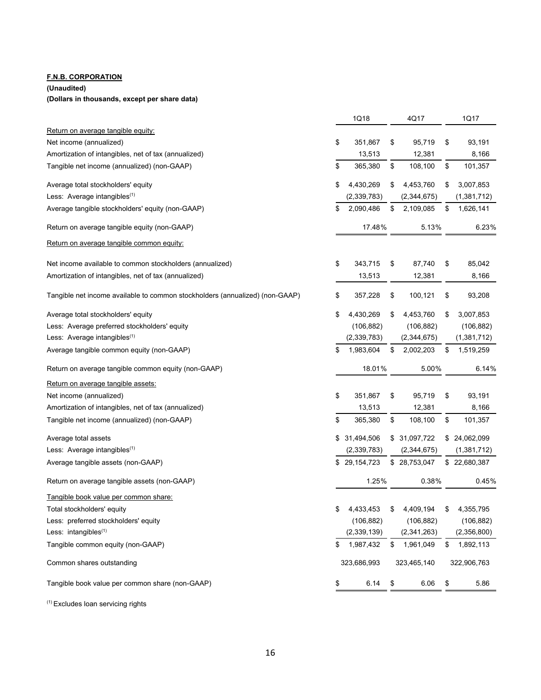### **(Unaudited)**

#### **(Dollars in thousands, except per share data)**

|                                                                              |    | 1Q18         | 4Q17            | 1Q17            |
|------------------------------------------------------------------------------|----|--------------|-----------------|-----------------|
| Return on average tangible equity:                                           |    |              |                 |                 |
| Net income (annualized)                                                      | \$ | 351,867      | \$<br>95,719    | \$<br>93,191    |
| Amortization of intangibles, net of tax (annualized)                         |    | 13,513       | 12,381          | 8,166           |
| Tangible net income (annualized) (non-GAAP)                                  | \$ | 365,380      | \$<br>108,100   | \$<br>101,357   |
| Average total stockholders' equity                                           | \$ | 4,430,269    | \$<br>4,453,760 | \$<br>3,007,853 |
| Less: Average intangibles(1)                                                 |    | (2,339,783)  | (2,344,675)     | (1,381,712)     |
| Average tangible stockholders' equity (non-GAAP)                             | \$ | 2,090,486    | \$<br>2,109,085 | \$<br>1,626,141 |
| Return on average tangible equity (non-GAAP)                                 |    | 17.48%       | 5.13%           | 6.23%           |
| Return on average tangible common equity:                                    |    |              |                 |                 |
| Net income available to common stockholders (annualized)                     | \$ | 343,715      | \$<br>87,740    | \$<br>85,042    |
| Amortization of intangibles, net of tax (annualized)                         |    | 13,513       | 12,381          | 8,166           |
| Tangible net income available to common stockholders (annualized) (non-GAAP) | \$ | 357,228      | \$<br>100,121   | \$<br>93,208    |
| Average total stockholders' equity                                           | \$ | 4,430,269    | \$<br>4,453,760 | \$<br>3,007,853 |
| Less: Average preferred stockholders' equity                                 |    | (106, 882)   | (106, 882)      | (106, 882)      |
| Less: Average intangibles <sup>(1)</sup>                                     |    | (2,339,783)  | (2, 344, 675)   | (1,381,712)     |
| Average tangible common equity (non-GAAP)                                    | \$ | 1,983,604    | \$<br>2,002,203 | \$<br>1,519,259 |
| Return on average tangible common equity (non-GAAP)                          |    | 18.01%       | 5.00%           | 6.14%           |
| Return on average tangible assets:                                           |    |              |                 |                 |
| Net income (annualized)                                                      | \$ | 351,867      | \$<br>95,719    | \$<br>93,191    |
| Amortization of intangibles, net of tax (annualized)                         |    | 13,513       | 12,381          | 8,166           |
| Tangible net income (annualized) (non-GAAP)                                  | \$ | 365,380      | \$<br>108,100   | \$<br>101,357   |
| Average total assets                                                         | \$ | 31,494,506   | \$ 31,097,722   | \$24,062,099    |
| Less: Average intangibles <sup>(1)</sup>                                     |    | (2,339,783)  | (2,344,675)     | (1,381,712)     |
| Average tangible assets (non-GAAP)                                           |    | \$29,154,723 | \$28,753,047    | \$22,680,387    |
| Return on average tangible assets (non-GAAP)                                 |    | 1.25%        | 0.38%           | 0.45%           |
| Tangible book value per common share:                                        |    |              |                 |                 |
| Total stockholders' equity                                                   | S. | 4,433,453    | \$<br>4,409,194 | \$<br>4,355,795 |
| Less: preferred stockholders' equity                                         |    | (106, 882)   | (106, 882)      | (106, 882)      |
| Less: intangibles <sup>(1)</sup>                                             |    | (2,339,139)  | (2,341,263)     | (2,356,800)     |
| Tangible common equity (non-GAAP)                                            |    | 1,987,432    | \$ 1,961,049    | \$<br>1,892,113 |
| Common shares outstanding                                                    |    | 323,686,993  | 323,465,140     | 322,906,763     |
| Tangible book value per common share (non-GAAP)                              | \$ | 6.14         | \$<br>6.06      | \$<br>5.86      |
|                                                                              |    |              |                 |                 |

 $(1)$  Excludes loan servicing rights